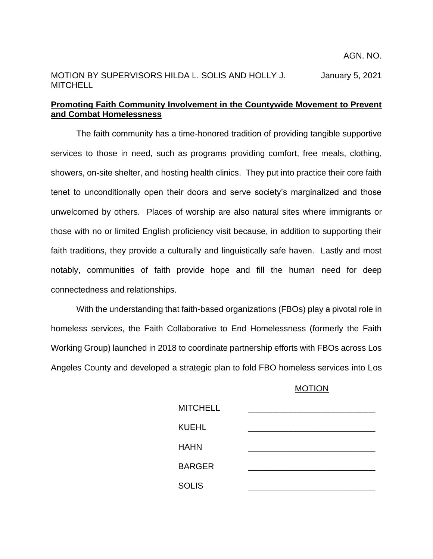## MOTION BY SUPERVISORS HILDA L. SOLIS AND HOLLY J. January 5, 2021 **MITCHELL**

## **Promoting Faith Community Involvement in the Countywide Movement to Prevent and Combat Homelessness**

The faith community has a time-honored tradition of providing tangible supportive services to those in need, such as programs providing comfort, free meals, clothing, showers, on-site shelter, and hosting health clinics. They put into practice their core faith tenet to unconditionally open their doors and serve society's marginalized and those unwelcomed by others. Places of worship are also natural sites where immigrants or those with no or limited English proficiency visit because, in addition to supporting their faith traditions, they provide a culturally and linguistically safe haven. Lastly and most notably, communities of faith provide hope and fill the human need for deep connectedness and relationships.

With the understanding that faith-based organizations (FBOs) play a pivotal role in homeless services, the Faith Collaborative to End Homelessness (formerly the Faith Working Group) launched in 2018 to coordinate partnership efforts with FBOs across Los Angeles County and developed a strategic plan to fold FBO homeless services into Los

## MOTION

| <b>MITCHELL</b> |  |
|-----------------|--|
| <b>KUEHL</b>    |  |
| <b>HAHN</b>     |  |
| <b>BARGER</b>   |  |
| <b>SOLIS</b>    |  |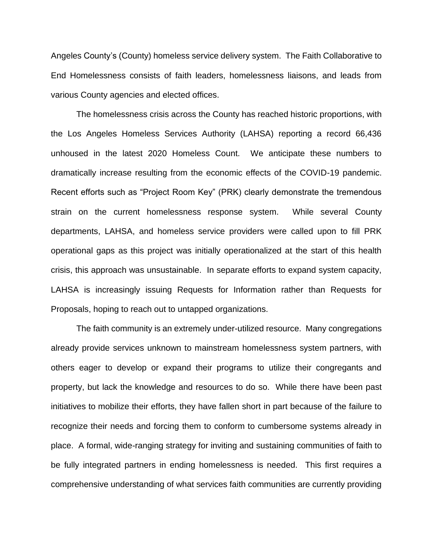Angeles County's (County) homeless service delivery system. The Faith Collaborative to End Homelessness consists of faith leaders, homelessness liaisons, and leads from various County agencies and elected offices.

The homelessness crisis across the County has reached historic proportions, with the Los Angeles Homeless Services Authority (LAHSA) reporting a record 66,436 unhoused in the latest 2020 Homeless Count. We anticipate these numbers to dramatically increase resulting from the economic effects of the COVID-19 pandemic. Recent efforts such as "Project Room Key" (PRK) clearly demonstrate the tremendous strain on the current homelessness response system. While several County departments, LAHSA, and homeless service providers were called upon to fill PRK operational gaps as this project was initially operationalized at the start of this health crisis, this approach was unsustainable. In separate efforts to expand system capacity, LAHSA is increasingly issuing Requests for Information rather than Requests for Proposals, hoping to reach out to untapped organizations.

The faith community is an extremely under-utilized resource. Many congregations already provide services unknown to mainstream homelessness system partners, with others eager to develop or expand their programs to utilize their congregants and property, but lack the knowledge and resources to do so. While there have been past initiatives to mobilize their efforts, they have fallen short in part because of the failure to recognize their needs and forcing them to conform to cumbersome systems already in place. A formal, wide-ranging strategy for inviting and sustaining communities of faith to be fully integrated partners in ending homelessness is needed. This first requires a comprehensive understanding of what services faith communities are currently providing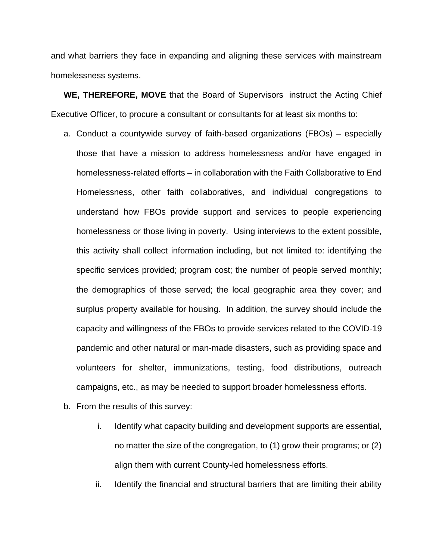and what barriers they face in expanding and aligning these services with mainstream homelessness systems.

**WE, THEREFORE, MOVE** that the Board of Supervisors instruct the Acting Chief Executive Officer, to procure a consultant or consultants for at least six months to:

- a. Conduct a countywide survey of faith-based organizations (FBOs) especially those that have a mission to address homelessness and/or have engaged in homelessness-related efforts – in collaboration with the Faith Collaborative to End Homelessness, other faith collaboratives, and individual congregations to understand how FBOs provide support and services to people experiencing homelessness or those living in poverty. Using interviews to the extent possible, this activity shall collect information including, but not limited to: identifying the specific services provided; program cost; the number of people served monthly; the demographics of those served; the local geographic area they cover; and surplus property available for housing. In addition, the survey should include the capacity and willingness of the FBOs to provide services related to the COVID-19 pandemic and other natural or man-made disasters, such as providing space and volunteers for shelter, immunizations, testing, food distributions, outreach campaigns, etc., as may be needed to support broader homelessness efforts.
- b. From the results of this survey:
	- i. Identify what capacity building and development supports are essential, no matter the size of the congregation, to (1) grow their programs; or (2) align them with current County-led homelessness efforts.
	- ii. Identify the financial and structural barriers that are limiting their ability